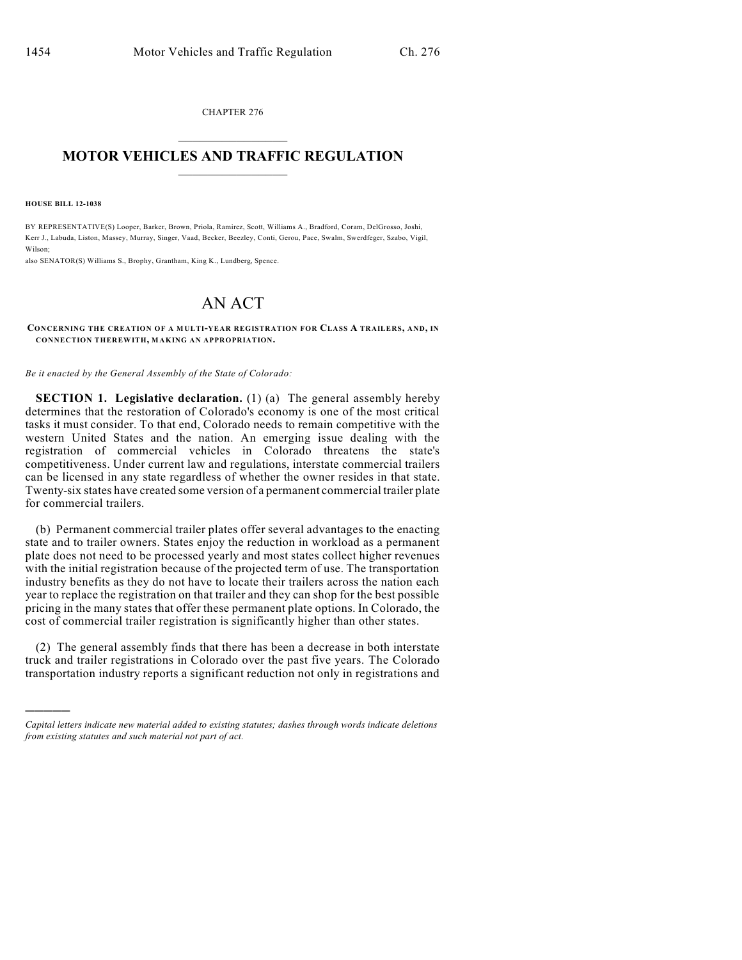CHAPTER 276  $\overline{\phantom{a}}$  . The set of the set of the set of the set of the set of the set of the set of the set of the set of the set of the set of the set of the set of the set of the set of the set of the set of the set of the set o

## **MOTOR VEHICLES AND TRAFFIC REGULATION**  $\frac{1}{2}$  ,  $\frac{1}{2}$  ,  $\frac{1}{2}$  ,  $\frac{1}{2}$  ,  $\frac{1}{2}$  ,  $\frac{1}{2}$  ,  $\frac{1}{2}$

**HOUSE BILL 12-1038**

)))))

BY REPRESENTATIVE(S) Looper, Barker, Brown, Priola, Ramirez, Scott, Williams A., Bradford, Coram, DelGrosso, Joshi, Kerr J., Labuda, Liston, Massey, Murray, Singer, Vaad, Becker, Beezley, Conti, Gerou, Pace, Swalm, Swerdfeger, Szabo, Vigil, Wilson;

also SENATOR(S) Williams S., Brophy, Grantham, King K., Lundberg, Spence.

## AN ACT

## **CONCERNING THE CREATION OF A MULTI-YEAR REGISTRATION FOR CLASS A TRAILERS, AND, IN CONNECTION THEREWITH, MAKING AN APPROPRIATION.**

*Be it enacted by the General Assembly of the State of Colorado:*

**SECTION 1. Legislative declaration.** (1) (a) The general assembly hereby determines that the restoration of Colorado's economy is one of the most critical tasks it must consider. To that end, Colorado needs to remain competitive with the western United States and the nation. An emerging issue dealing with the registration of commercial vehicles in Colorado threatens the state's competitiveness. Under current law and regulations, interstate commercial trailers can be licensed in any state regardless of whether the owner resides in that state. Twenty-six states have created some version of a permanent commercial trailer plate for commercial trailers.

(b) Permanent commercial trailer plates offer several advantages to the enacting state and to trailer owners. States enjoy the reduction in workload as a permanent plate does not need to be processed yearly and most states collect higher revenues with the initial registration because of the projected term of use. The transportation industry benefits as they do not have to locate their trailers across the nation each year to replace the registration on that trailer and they can shop for the best possible pricing in the many states that offer these permanent plate options. In Colorado, the cost of commercial trailer registration is significantly higher than other states.

(2) The general assembly finds that there has been a decrease in both interstate truck and trailer registrations in Colorado over the past five years. The Colorado transportation industry reports a significant reduction not only in registrations and

*Capital letters indicate new material added to existing statutes; dashes through words indicate deletions from existing statutes and such material not part of act.*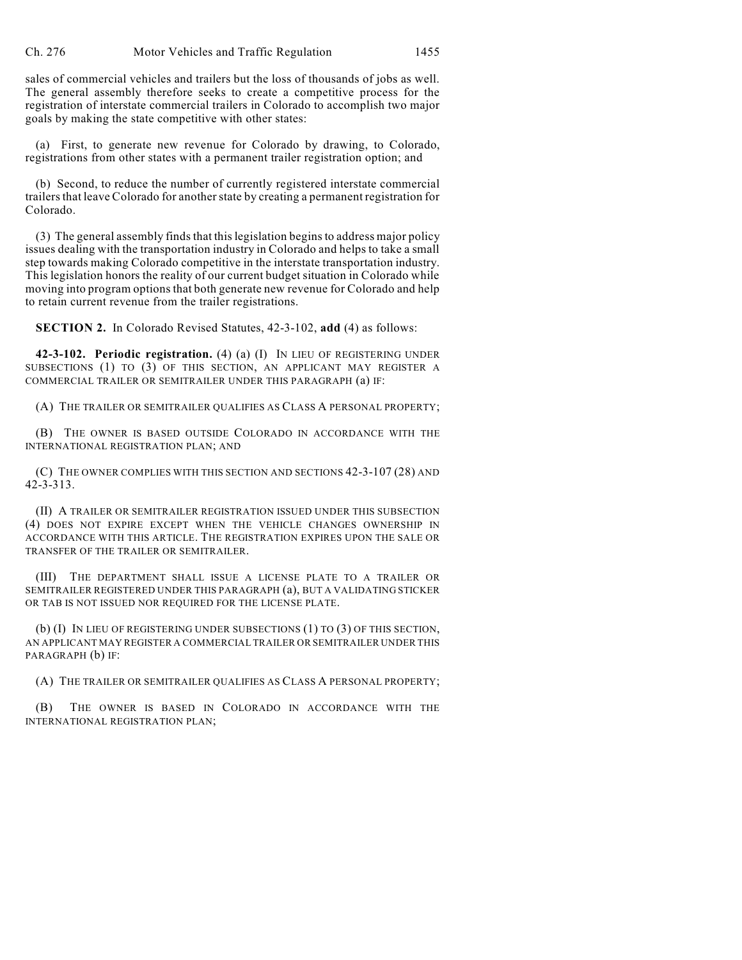sales of commercial vehicles and trailers but the loss of thousands of jobs as well. The general assembly therefore seeks to create a competitive process for the registration of interstate commercial trailers in Colorado to accomplish two major goals by making the state competitive with other states:

(a) First, to generate new revenue for Colorado by drawing, to Colorado, registrations from other states with a permanent trailer registration option; and

(b) Second, to reduce the number of currently registered interstate commercial trailers that leave Colorado for another state by creating a permanent registration for Colorado.

 $(3)$  The general assembly finds that this legislation begins to address major policy issues dealing with the transportation industry in Colorado and helps to take a small step towards making Colorado competitive in the interstate transportation industry. This legislation honors the reality of our current budget situation in Colorado while moving into program options that both generate new revenue for Colorado and help to retain current revenue from the trailer registrations.

**SECTION 2.** In Colorado Revised Statutes, 42-3-102, **add** (4) as follows:

**42-3-102. Periodic registration.** (4) (a) (I) IN LIEU OF REGISTERING UNDER SUBSECTIONS (1) TO (3) OF THIS SECTION, AN APPLICANT MAY REGISTER A COMMERCIAL TRAILER OR SEMITRAILER UNDER THIS PARAGRAPH (a) IF:

(A) THE TRAILER OR SEMITRAILER QUALIFIES AS CLASS A PERSONAL PROPERTY;

(B) THE OWNER IS BASED OUTSIDE COLORADO IN ACCORDANCE WITH THE INTERNATIONAL REGISTRATION PLAN; AND

(C) THE OWNER COMPLIES WITH THIS SECTION AND SECTIONS 42-3-107 (28) AND 42-3-313.

(II) A TRAILER OR SEMITRAILER REGISTRATION ISSUED UNDER THIS SUBSECTION (4) DOES NOT EXPIRE EXCEPT WHEN THE VEHICLE CHANGES OWNERSHIP IN ACCORDANCE WITH THIS ARTICLE. THE REGISTRATION EXPIRES UPON THE SALE OR TRANSFER OF THE TRAILER OR SEMITRAILER.

(III) THE DEPARTMENT SHALL ISSUE A LICENSE PLATE TO A TRAILER OR SEMITRAILER REGISTERED UNDER THIS PARAGRAPH (a), BUT A VALIDATING STICKER OR TAB IS NOT ISSUED NOR REQUIRED FOR THE LICENSE PLATE.

(b) (I) IN LIEU OF REGISTERING UNDER SUBSECTIONS (1) TO (3) OF THIS SECTION, AN APPLICANT MAY REGISTER A COMMERCIAL TRAILER OR SEMITRAILER UNDER THIS PARAGRAPH (b) IF:

(A) THE TRAILER OR SEMITRAILER QUALIFIES AS CLASS A PERSONAL PROPERTY;

(B) THE OWNER IS BASED IN COLORADO IN ACCORDANCE WITH THE INTERNATIONAL REGISTRATION PLAN;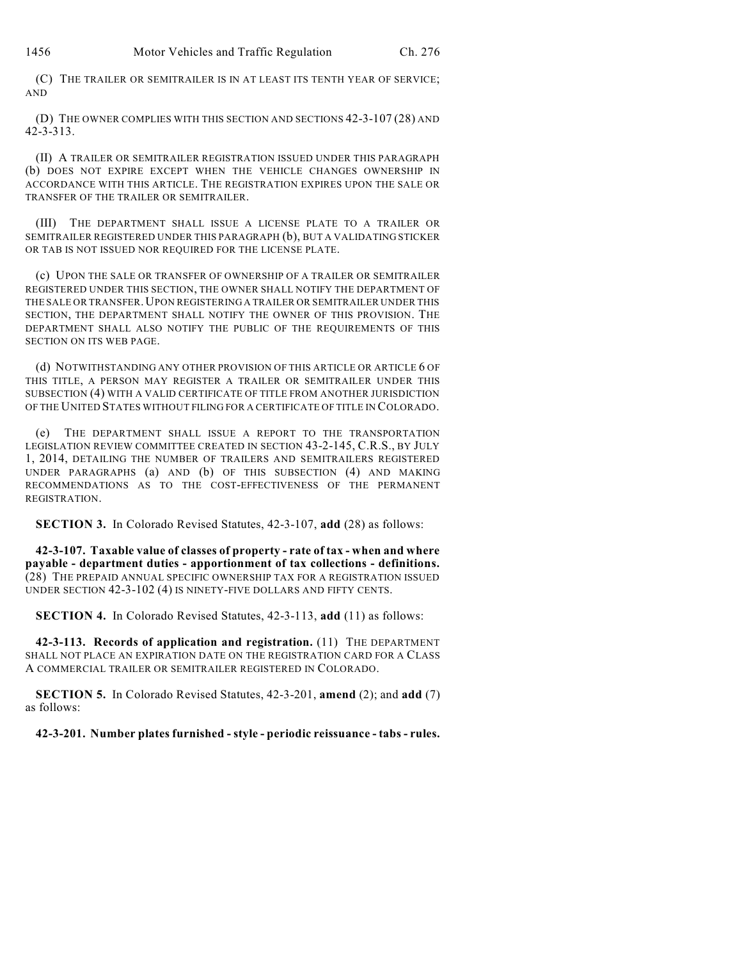(C) THE TRAILER OR SEMITRAILER IS IN AT LEAST ITS TENTH YEAR OF SERVICE; AND

(D) THE OWNER COMPLIES WITH THIS SECTION AND SECTIONS 42-3-107 (28) AND 42-3-313.

(II) A TRAILER OR SEMITRAILER REGISTRATION ISSUED UNDER THIS PARAGRAPH (b) DOES NOT EXPIRE EXCEPT WHEN THE VEHICLE CHANGES OWNERSHIP IN ACCORDANCE WITH THIS ARTICLE. THE REGISTRATION EXPIRES UPON THE SALE OR TRANSFER OF THE TRAILER OR SEMITRAILER.

(III) THE DEPARTMENT SHALL ISSUE A LICENSE PLATE TO A TRAILER OR SEMITRAILER REGISTERED UNDER THIS PARAGRAPH (b), BUT A VALIDATING STICKER OR TAB IS NOT ISSUED NOR REQUIRED FOR THE LICENSE PLATE.

(c) UPON THE SALE OR TRANSFER OF OWNERSHIP OF A TRAILER OR SEMITRAILER REGISTERED UNDER THIS SECTION, THE OWNER SHALL NOTIFY THE DEPARTMENT OF THE SALE OR TRANSFER.UPON REGISTERING A TRAILER OR SEMITRAILER UNDER THIS SECTION, THE DEPARTMENT SHALL NOTIFY THE OWNER OF THIS PROVISION. THE DEPARTMENT SHALL ALSO NOTIFY THE PUBLIC OF THE REQUIREMENTS OF THIS SECTION ON ITS WEB PAGE.

(d) NOTWITHSTANDING ANY OTHER PROVISION OF THIS ARTICLE OR ARTICLE 6 OF THIS TITLE, A PERSON MAY REGISTER A TRAILER OR SEMITRAILER UNDER THIS SUBSECTION (4) WITH A VALID CERTIFICATE OF TITLE FROM ANOTHER JURISDICTION OF THE UNITED STATES WITHOUT FILING FOR A CERTIFICATE OF TITLE IN COLORADO.

(e) THE DEPARTMENT SHALL ISSUE A REPORT TO THE TRANSPORTATION LEGISLATION REVIEW COMMITTEE CREATED IN SECTION 43-2-145, C.R.S., BY JULY 1, 2014, DETAILING THE NUMBER OF TRAILERS AND SEMITRAILERS REGISTERED UNDER PARAGRAPHS (a) AND (b) OF THIS SUBSECTION (4) AND MAKING RECOMMENDATIONS AS TO THE COST-EFFECTIVENESS OF THE PERMANENT REGISTRATION.

**SECTION 3.** In Colorado Revised Statutes, 42-3-107, **add** (28) as follows:

**42-3-107. Taxable value of classes of property - rate of tax - when and where payable - department duties - apportionment of tax collections - definitions.** (28) THE PREPAID ANNUAL SPECIFIC OWNERSHIP TAX FOR A REGISTRATION ISSUED UNDER SECTION 42-3-102 (4) IS NINETY-FIVE DOLLARS AND FIFTY CENTS.

**SECTION 4.** In Colorado Revised Statutes, 42-3-113, **add** (11) as follows:

**42-3-113. Records of application and registration.** (11) THE DEPARTMENT SHALL NOT PLACE AN EXPIRATION DATE ON THE REGISTRATION CARD FOR A CLASS A COMMERCIAL TRAILER OR SEMITRAILER REGISTERED IN COLORADO.

**SECTION 5.** In Colorado Revised Statutes, 42-3-201, **amend** (2); and **add** (7) as follows:

**42-3-201. Number plates furnished - style - periodic reissuance - tabs - rules.**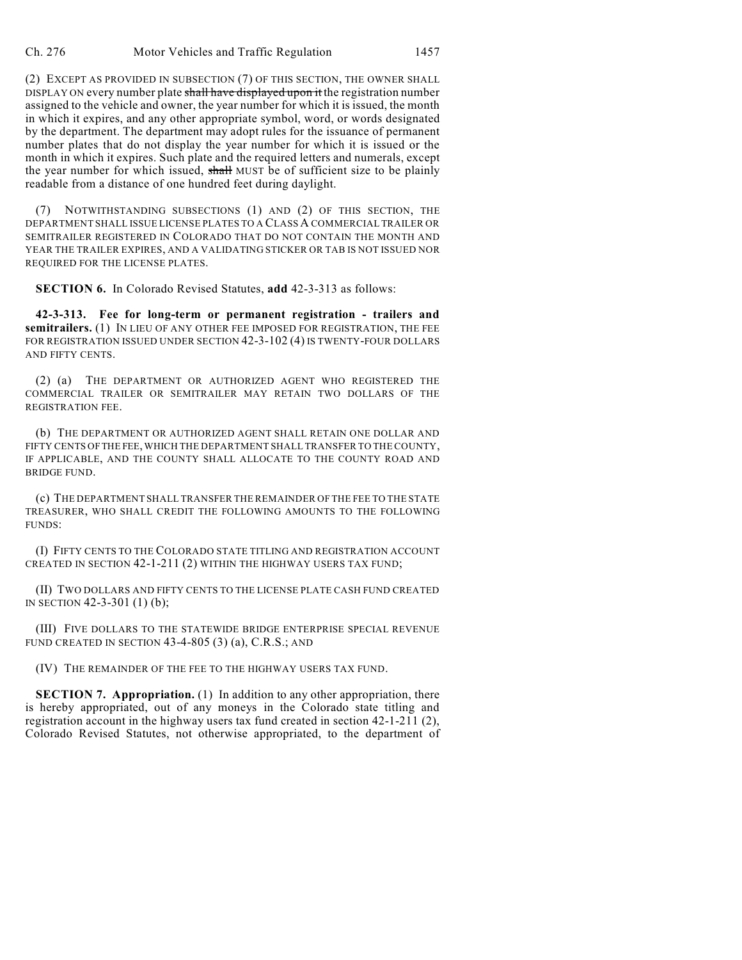(2) EXCEPT AS PROVIDED IN SUBSECTION (7) OF THIS SECTION, THE OWNER SHALL DISPLAY ON every number plate shall have displayed upon it the registration number assigned to the vehicle and owner, the year number for which it is issued, the month in which it expires, and any other appropriate symbol, word, or words designated by the department. The department may adopt rules for the issuance of permanent number plates that do not display the year number for which it is issued or the month in which it expires. Such plate and the required letters and numerals, except the year number for which issued, shall MUST be of sufficient size to be plainly readable from a distance of one hundred feet during daylight.

(7) NOTWITHSTANDING SUBSECTIONS (1) AND (2) OF THIS SECTION, THE DEPARTMENT SHALL ISSUE LICENSE PLATES TO A CLASS A COMMERCIAL TRAILER OR SEMITRAILER REGISTERED IN COLORADO THAT DO NOT CONTAIN THE MONTH AND YEAR THE TRAILER EXPIRES, AND A VALIDATING STICKER OR TAB IS NOT ISSUED NOR REQUIRED FOR THE LICENSE PLATES.

**SECTION 6.** In Colorado Revised Statutes, **add** 42-3-313 as follows:

**42-3-313. Fee for long-term or permanent registration - trailers and semitrailers.** (1) IN LIEU OF ANY OTHER FEE IMPOSED FOR REGISTRATION, THE FEE FOR REGISTRATION ISSUED UNDER SECTION 42-3-102 (4) IS TWENTY-FOUR DOLLARS AND FIFTY CENTS.

(2) (a) THE DEPARTMENT OR AUTHORIZED AGENT WHO REGISTERED THE COMMERCIAL TRAILER OR SEMITRAILER MAY RETAIN TWO DOLLARS OF THE REGISTRATION FEE.

(b) THE DEPARTMENT OR AUTHORIZED AGENT SHALL RETAIN ONE DOLLAR AND FIFTY CENTS OFTHE FEE,WHICH THE DEPARTMENT SHALL TRANSFER TO THE COUNTY, IF APPLICABLE, AND THE COUNTY SHALL ALLOCATE TO THE COUNTY ROAD AND BRIDGE FUND.

(c) THE DEPARTMENT SHALL TRANSFER THE REMAINDER OF THE FEE TO THE STATE TREASURER, WHO SHALL CREDIT THE FOLLOWING AMOUNTS TO THE FOLLOWING FUNDS:

(I) FIFTY CENTS TO THE COLORADO STATE TITLING AND REGISTRATION ACCOUNT CREATED IN SECTION 42-1-211 (2) WITHIN THE HIGHWAY USERS TAX FUND;

(II) TWO DOLLARS AND FIFTY CENTS TO THE LICENSE PLATE CASH FUND CREATED IN SECTION 42-3-301 (1) (b);

(III) FIVE DOLLARS TO THE STATEWIDE BRIDGE ENTERPRISE SPECIAL REVENUE FUND CREATED IN SECTION 43-4-805 (3) (a), C.R.S.; AND

(IV) THE REMAINDER OF THE FEE TO THE HIGHWAY USERS TAX FUND.

**SECTION 7. Appropriation.** (1) In addition to any other appropriation, there is hereby appropriated, out of any moneys in the Colorado state titling and registration account in the highway users tax fund created in section 42-1-211 (2), Colorado Revised Statutes, not otherwise appropriated, to the department of